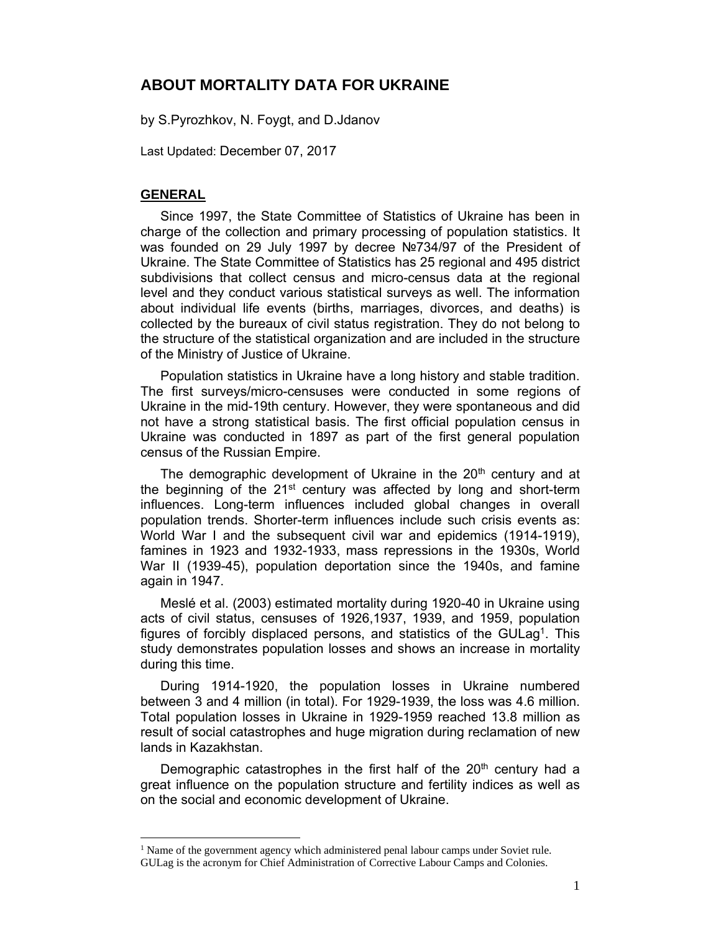## **ABOUT MORTALITY DATA FOR UKRAINE**

by S.Pyrozhkov, N. Foygt, and D.Jdanov

Last Updated: December 07, 2017

#### **GENERAL**

 $\overline{a}$ 

Since 1997, the State Committee of Statistics of Ukraine has been in charge of the collection and primary processing of population statistics. It was founded on 29 July 1997 by decree №734/97 of the President of Ukraine. The State Committee of Statistics has 25 regional and 495 district subdivisions that collect census and micro-census data at the regional level and they conduct various statistical surveys as well. The information about individual life events (births, marriages, divorces, and deaths) is collected by the bureaux of civil status registration. They do not belong to the structure of the statistical organization and are included in the structure of the Ministry of Justice of Ukraine.

Population statistics in Ukraine have a long history and stable tradition. The first surveys/micro-censuses were conducted in some regions of Ukraine in the mid-19th century. However, they were spontaneous and did not have a strong statistical basis. The first official population census in Ukraine was conducted in 1897 as part of the first general population census of the Russian Empire.

The demographic development of Ukraine in the  $20<sup>th</sup>$  century and at the beginning of the  $21^{st}$  century was affected by long and short-term influences. Long-term influences included global changes in overall population trends. Shorter-term influences include such crisis events as: World War I and the subsequent civil war and epidemics (1914-1919), famines in 1923 and 1932-1933, mass repressions in the 1930s, World War II (1939-45), population deportation since the 1940s, and famine again in 1947.

Meslé et al. (2003) estimated mortality during 1920-40 in Ukraine using acts of civil status, censuses of 1926,1937, 1939, and 1959, population figures of forcibly displaced persons, and statistics of the GULag<sup>1</sup>. This study demonstrates population losses and shows an increase in mortality during this time.

During 1914-1920, the population losses in Ukraine numbered between 3 and 4 million (in total). For 1929-1939, the loss was 4.6 million. Total population losses in Ukraine in 1929-1959 reached 13.8 million as result of social catastrophes and huge migration during reclamation of new lands in Kazakhstan.

Demographic catastrophes in the first half of the  $20<sup>th</sup>$  century had a great influence on the population structure and fertility indices as well as on the social and economic development of Ukraine.

<sup>&</sup>lt;sup>1</sup> Name of the government agency which administered penal labour camps under Soviet rule. GULag is the acronym for Chief Administration of Corrective Labour Camps and Colonies.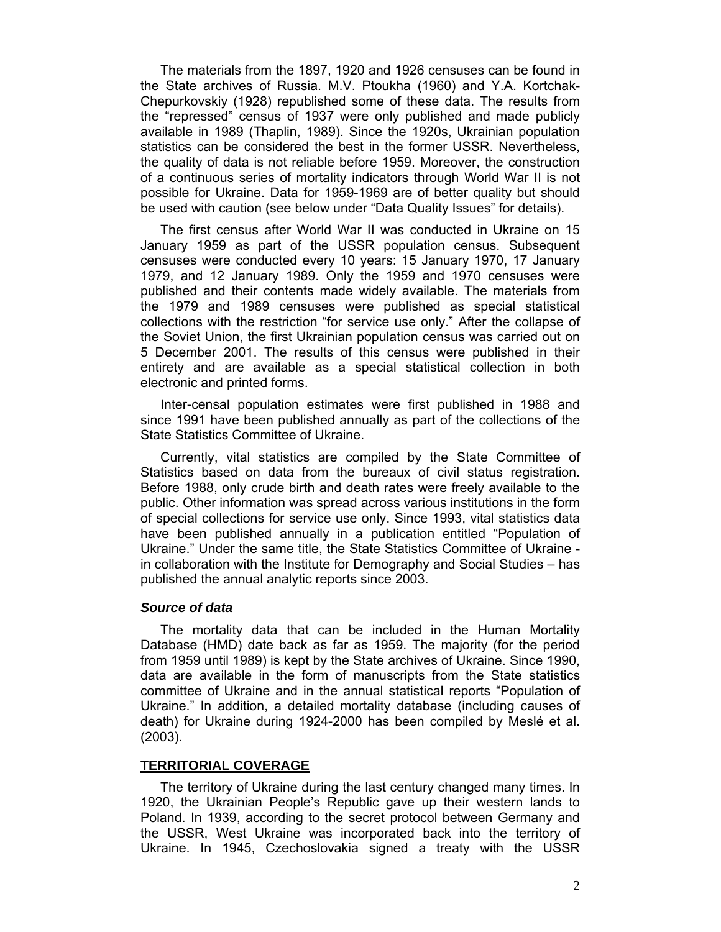The materials from the 1897, 1920 and 1926 censuses can be found in the State archives of Russia. M.V. Ptoukha (1960) and Y.A. Kortchak-Chepurkovskiy (1928) republished some of these data. The results from the "repressed" census of 1937 were only published and made publicly available in 1989 (Thaplin, 1989). Since the 1920s, Ukrainian population statistics can be considered the best in the former USSR. Nevertheless, the quality of data is not reliable before 1959. Moreover, the construction of a continuous series of mortality indicators through World War II is not possible for Ukraine. Data for 1959-1969 are of better quality but should be used with caution (see below under "Data Quality Issues" for details).

The first census after World War II was conducted in Ukraine on 15 January 1959 as part of the USSR population census. Subsequent censuses were conducted every 10 years: 15 January 1970, 17 January 1979, and 12 January 1989. Only the 1959 and 1970 censuses were published and their contents made widely available. The materials from the 1979 and 1989 censuses were published as special statistical collections with the restriction "for service use only." After the collapse of the Soviet Union, the first Ukrainian population census was carried out on 5 December 2001. The results of this census were published in their entirety and are available as a special statistical collection in both electronic and printed forms.

Inter-censal population estimates were first published in 1988 and since 1991 have been published annually as part of the collections of the State Statistics Committee of Ukraine.

Currently, vital statistics are compiled by the State Committee of Statistics based on data from the bureaux of civil status registration. Before 1988, only crude birth and death rates were freely available to the public. Other information was spread across various institutions in the form of special collections for service use only. Since 1993, vital statistics data have been published annually in a publication entitled "Population of Ukraine." Under the same title, the State Statistics Committee of Ukraine in collaboration with the Institute for Demography and Social Studies – has published the annual analytic reports since 2003.

#### *Source of data*

The mortality data that can be included in the Human Mortality Database (HMD) date back as far as 1959. The majority (for the period from 1959 until 1989) is kept by the State archives of Ukraine. Since 1990, data are available in the form of manuscripts from the State statistics committee of Ukraine and in the annual statistical reports "Population of Ukraine." In addition, a detailed mortality database (including causes of death) for Ukraine during 1924-2000 has been compiled by Meslé et al. (2003).

#### **TERRITORIAL COVERAGE**

The territory of Ukraine during the last century changed many times. In 1920, the Ukrainian People's Republic gave up their western lands to Poland. In 1939, according to the secret protocol between Germany and the USSR, West Ukraine was incorporated back into the territory of Ukraine. In 1945, Czechoslovakia signed a treaty with the USSR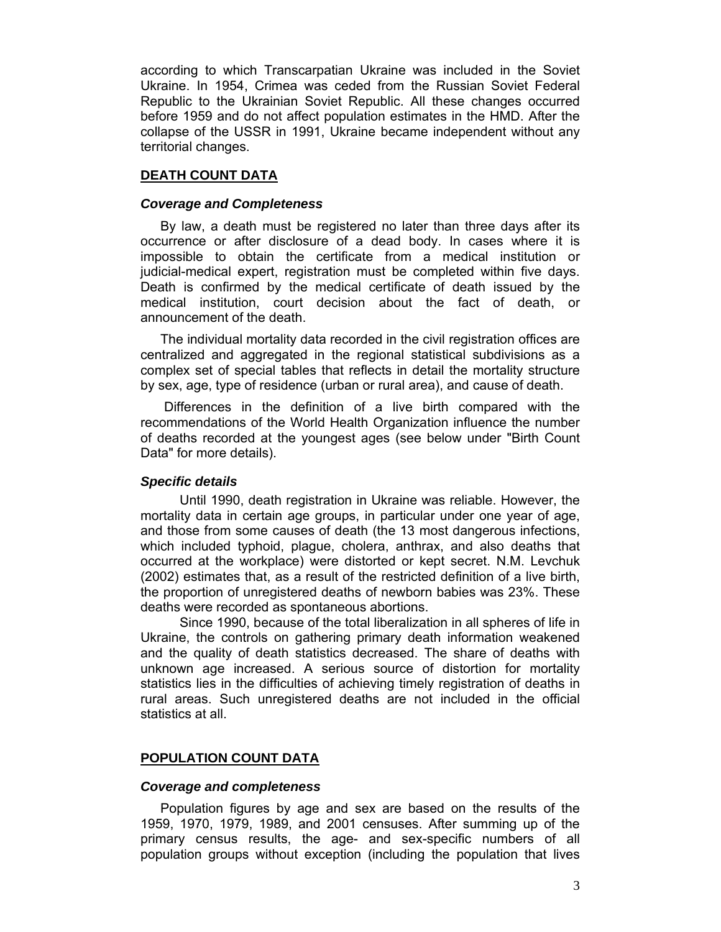according to which Transcarpatian Ukraine was included in the Soviet Ukraine. In 1954, Crimea was ceded from the Russian Soviet Federal Republic to the Ukrainian Soviet Republic. All these changes occurred before 1959 and do not affect population estimates in the HMD. After the collapse of the USSR in 1991, Ukraine became independent without any territorial changes.

## **DEATH COUNT DATA**

#### *Coverage and Completeness*

By law, a death must be registered no later than three days after its occurrence or after disclosure of a dead body. In cases where it is impossible to obtain the certificate from a medical institution or judicial-medical expert, registration must be completed within five days. Death is confirmed by the medical certificate of death issued by the medical institution, court decision about the fact of death, or announcement of the death.

The individual mortality data recorded in the civil registration offices are centralized and aggregated in the regional statistical subdivisions as a complex set of special tables that reflects in detail the mortality structure by sex, age, type of residence (urban or rural area), and cause of death.

 Differences in the definition of a live birth compared with the recommendations of the World Health Organization influence the number of deaths recorded at the youngest ages (see below under "Birth Count Data" for more details).

#### *Specific details*

Until 1990, death registration in Ukraine was reliable. However, the mortality data in certain age groups, in particular under one year of age, and those from some causes of death (the 13 most dangerous infections, which included typhoid, plague, cholera, anthrax, and also deaths that occurred at the workplace) were distorted or kept secret. N.M. Levchuk (2002) estimates that, as a result of the restricted definition of a live birth, the proportion of unregistered deaths of newborn babies was 23%. These deaths were recorded as spontaneous abortions.

Since 1990, because of the total liberalization in all spheres of life in Ukraine, the controls on gathering primary death information weakened and the quality of death statistics decreased. The share of deaths with unknown age increased. A serious source of distortion for mortality statistics lies in the difficulties of achieving timely registration of deaths in rural areas. Such unregistered deaths are not included in the official statistics at all.

## **POPULATION COUNT DATA**

#### *Coverage and completeness*

Population figures by age and sex are based on the results of the 1959, 1970, 1979, 1989, and 2001 censuses. After summing up of the primary census results, the age- and sex-specific numbers of all population groups without exception (including the population that lives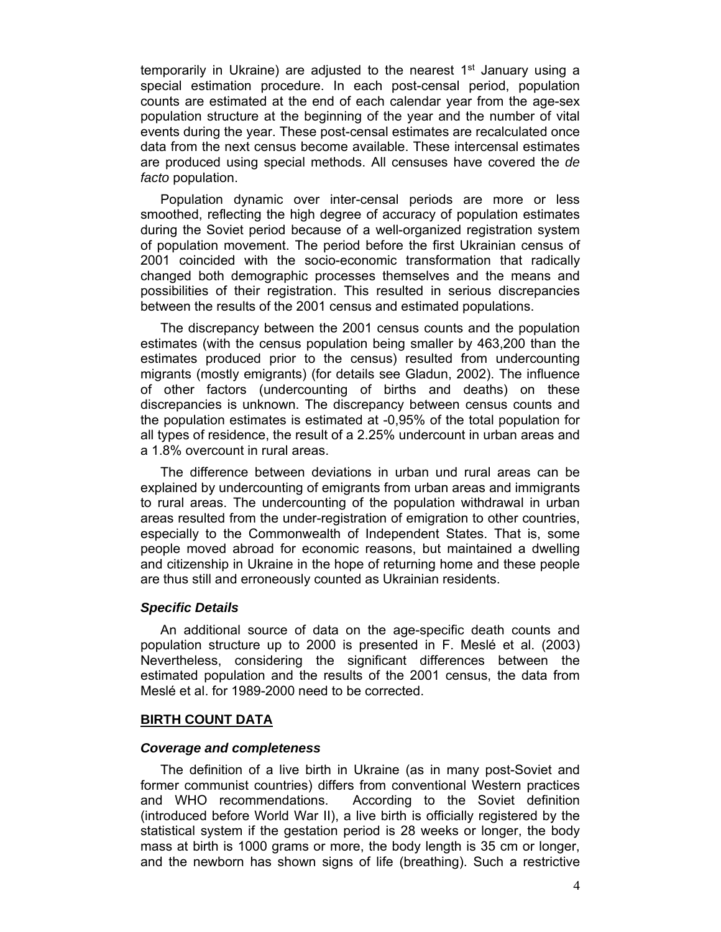temporarily in Ukraine) are adjusted to the nearest  $1<sup>st</sup>$  January using a special estimation procedure. In each post-censal period, population counts are estimated at the end of each calendar year from the age-sex population structure at the beginning of the year and the number of vital events during the year. These post-censal estimates are recalculated once data from the next census become available. These intercensal estimates are produced using special methods. All censuses have covered the *de facto* population.

Population dynamic over inter-censal periods are more or less smoothed, reflecting the high degree of accuracy of population estimates during the Soviet period because of a well-organized registration system of population movement. The period before the first Ukrainian census of 2001 coincided with the socio-economic transformation that radically changed both demographic processes themselves and the means and possibilities of their registration. This resulted in serious discrepancies between the results of the 2001 census and estimated populations.

The discrepancy between the 2001 census counts and the population estimates (with the census population being smaller by 463,200 than the estimates produced prior to the census) resulted from undercounting migrants (mostly emigrants) (for details see Gladun, 2002). The influence of other factors (undercounting of births and deaths) on these discrepancies is unknown. The discrepancy between census counts and the population estimates is estimated at -0,95% of the total population for all types of residence, the result of a 2.25% undercount in urban areas and a 1.8% overcount in rural areas.

The difference between deviations in urban und rural areas can be explained by undercounting of emigrants from urban areas and immigrants to rural areas. The undercounting of the population withdrawal in urban areas resulted from the under-registration of emigration to other countries, especially to the Commonwealth of Independent States. That is, some people moved abroad for economic reasons, but maintained a dwelling and citizenship in Ukraine in the hope of returning home and these people are thus still and erroneously counted as Ukrainian residents.

#### *Specific Details*

An additional source of data on the age-specific death counts and population structure up to 2000 is presented in F. Meslé et al. (2003) Nevertheless, considering the significant differences between the estimated population and the results of the 2001 census, the data from Meslé et al. for 1989-2000 need to be corrected.

#### **BIRTH COUNT DATA**

#### *Coverage and completeness*

The definition of a live birth in Ukraine (as in many post-Soviet and former communist countries) differs from conventional Western practices and WHO recommendations. According to the Soviet definition (introduced before World War II), a live birth is officially registered by the statistical system if the gestation period is 28 weeks or longer, the body mass at birth is 1000 grams or more, the body length is 35 cm or longer, and the newborn has shown signs of life (breathing). Such a restrictive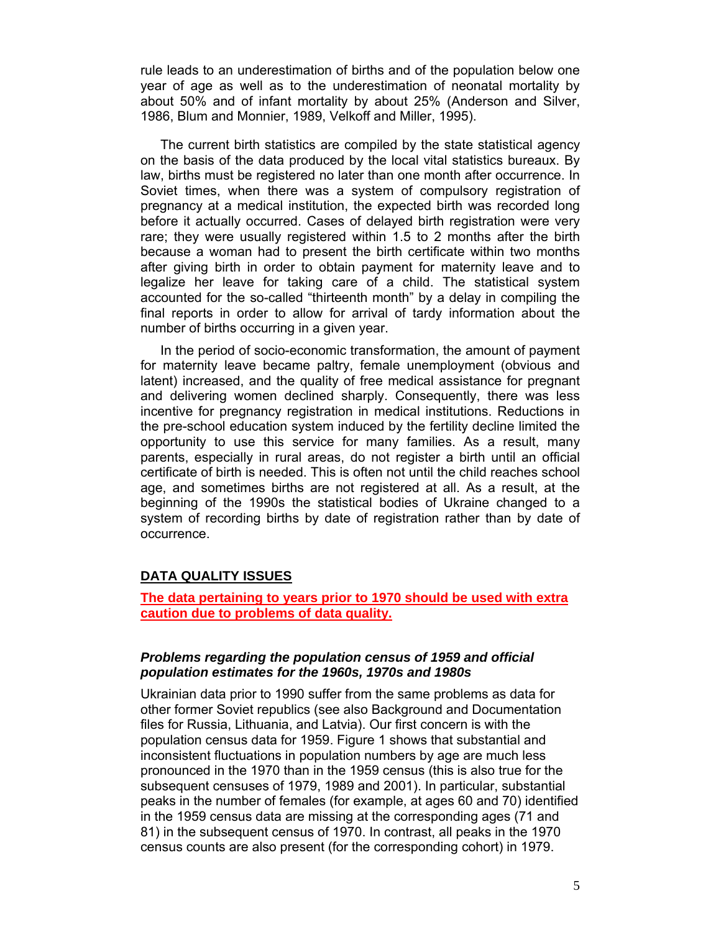rule leads to an underestimation of births and of the population below one year of age as well as to the underestimation of neonatal mortality by about 50% and of infant mortality by about 25% (Anderson and Silver, 1986, Blum and Monnier, 1989, Velkoff and Miller, 1995).

The current birth statistics are compiled by the state statistical agency on the basis of the data produced by the local vital statistics bureaux. By law, births must be registered no later than one month after occurrence. In Soviet times, when there was a system of compulsory registration of pregnancy at a medical institution, the expected birth was recorded long before it actually occurred. Cases of delayed birth registration were very rare; they were usually registered within 1.5 to 2 months after the birth because a woman had to present the birth certificate within two months after giving birth in order to obtain payment for maternity leave and to legalize her leave for taking care of a child. The statistical system accounted for the so-called "thirteenth month" by a delay in compiling the final reports in order to allow for arrival of tardy information about the number of births occurring in a given year.

In the period of socio-economic transformation, the amount of payment for maternity leave became paltry, female unemployment (obvious and latent) increased, and the quality of free medical assistance for pregnant and delivering women declined sharply. Consequently, there was less incentive for pregnancy registration in medical institutions. Reductions in the pre-school education system induced by the fertility decline limited the opportunity to use this service for many families. As a result, many parents, especially in rural areas, do not register a birth until an official certificate of birth is needed. This is often not until the child reaches school age, and sometimes births are not registered at all. As a result, at the beginning of the 1990s the statistical bodies of Ukraine changed to a system of recording births by date of registration rather than by date of occurrence.

## **DATA QUALITY ISSUES**

**The data pertaining to years prior to 1970 should be used with extra caution due to problems of data quality.** 

### *Problems regarding the population census of 1959 and official population estimates for the 1960s, 1970s and 1980s*

Ukrainian data prior to 1990 suffer from the same problems as data for other former Soviet republics (see also Background and Documentation files for Russia, Lithuania, and Latvia). Our first concern is with the population census data for 1959. Figure 1 shows that substantial and inconsistent fluctuations in population numbers by age are much less pronounced in the 1970 than in the 1959 census (this is also true for the subsequent censuses of 1979, 1989 and 2001). In particular, substantial peaks in the number of females (for example, at ages 60 and 70) identified in the 1959 census data are missing at the corresponding ages (71 and 81) in the subsequent census of 1970. In contrast, all peaks in the 1970 census counts are also present (for the corresponding cohort) in 1979.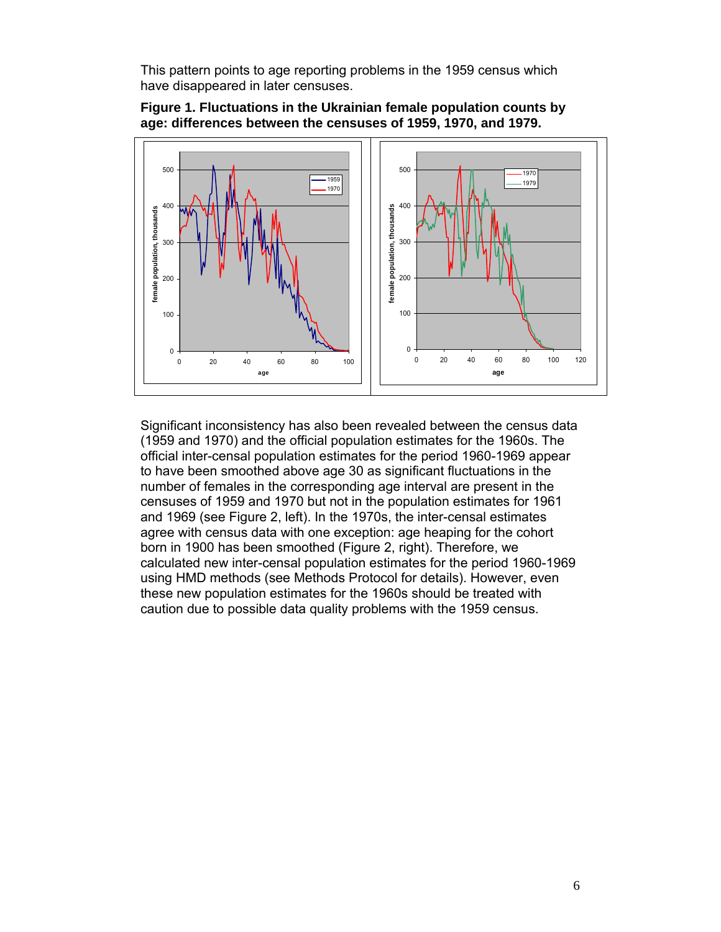This pattern points to age reporting problems in the 1959 census which have disappeared in later censuses.



### **Figure 1. Fluctuations in the Ukrainian female population counts by age: differences between the censuses of 1959, 1970, and 1979.**

Significant inconsistency has also been revealed between the census data (1959 and 1970) and the official population estimates for the 1960s. The official inter-censal population estimates for the period 1960-1969 appear to have been smoothed above age 30 as significant fluctuations in the number of females in the corresponding age interval are present in the censuses of 1959 and 1970 but not in the population estimates for 1961 and 1969 (see Figure 2, left). In the 1970s, the inter-censal estimates agree with census data with one exception: age heaping for the cohort born in 1900 has been smoothed (Figure 2, right). Therefore, we calculated new inter-censal population estimates for the period 1960-1969 using HMD methods (see Methods Protocol for details). However, even these new population estimates for the 1960s should be treated with caution due to possible data quality problems with the 1959 census.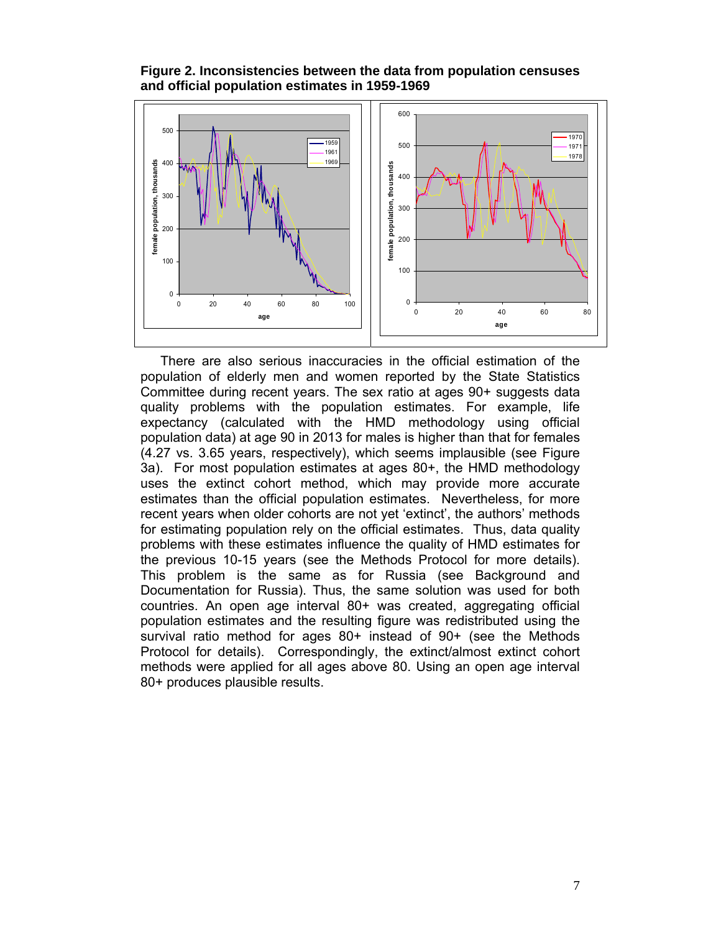**Figure 2. Inconsistencies between the data from population censuses and official population estimates in 1959-1969**



There are also serious inaccuracies in the official estimation of the population of elderly men and women reported by the State Statistics Committee during recent years. The sex ratio at ages 90+ suggests data quality problems with the population estimates. For example, life expectancy (calculated with the HMD methodology using official population data) at age 90 in 2013 for males is higher than that for females (4.27 vs. 3.65 years, respectively), which seems implausible (see Figure 3a). For most population estimates at ages 80+, the HMD methodology uses the extinct cohort method, which may provide more accurate estimates than the official population estimates. Nevertheless, for more recent years when older cohorts are not yet 'extinct', the authors' methods for estimating population rely on the official estimates. Thus, data quality problems with these estimates influence the quality of HMD estimates for the previous 10-15 years (see the Methods Protocol for more details). This problem is the same as for Russia (see Background and Documentation for Russia). Thus, the same solution was used for both countries. An open age interval 80+ was created, aggregating official population estimates and the resulting figure was redistributed using the survival ratio method for ages 80+ instead of 90+ (see the Methods Protocol for details). Correspondingly, the extinct/almost extinct cohort methods were applied for all ages above 80. Using an open age interval 80+ produces plausible results.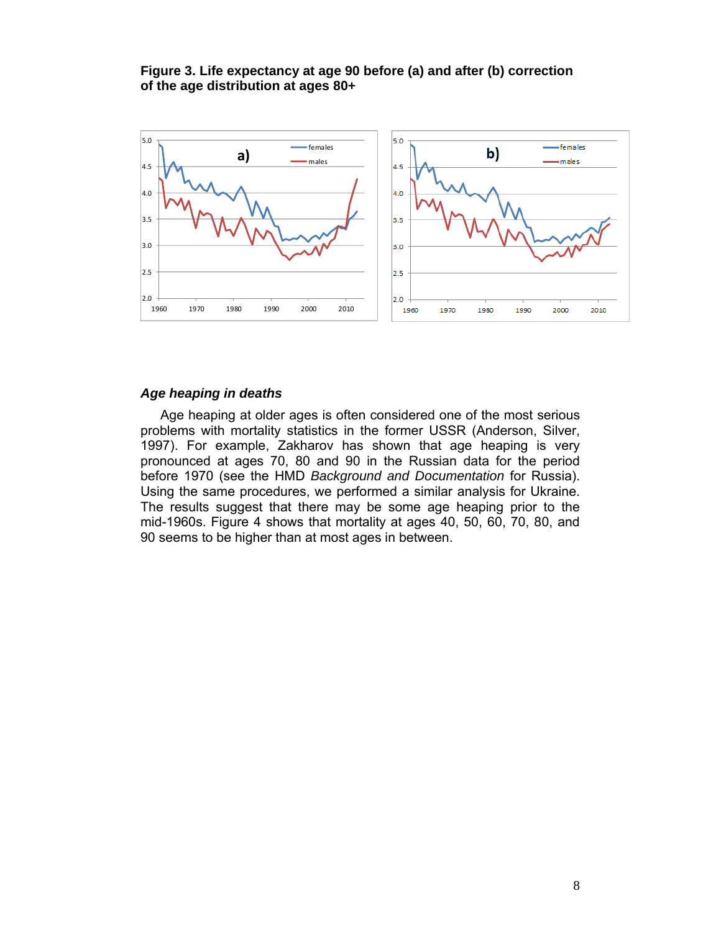### **Figure 3. Life expectancy at age 90 before (a) and after (b) correction of the age distribution at ages 80+**



#### *Age heaping in deaths*

Age heaping at older ages is often considered one of the most serious problems with mortality statistics in the former USSR (Anderson, Silver, 1997). For example, Zakharov has shown that age heaping is very pronounced at ages 70, 80 and 90 in the Russian data for the period before 1970 (see the HMD *Background and Documentation* for Russia). Using the same procedures, we performed a similar analysis for Ukraine. The results suggest that there may be some age heaping prior to the mid-1960s. Figure 4 shows that mortality at ages 40, 50, 60, 70, 80, and 90 seems to be higher than at most ages in between.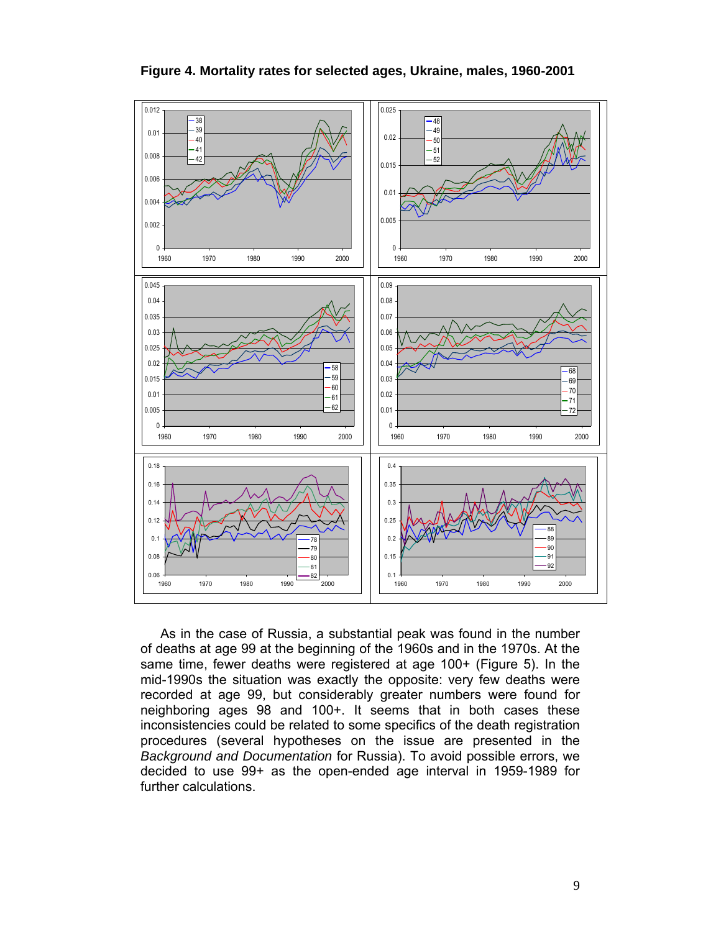

**Figure 4. Mortality rates for selected ages, Ukraine, males, 1960-2001** 

As in the case of Russia, a substantial peak was found in the number of deaths at age 99 at the beginning of the 1960s and in the 1970s. At the same time, fewer deaths were registered at age 100+ (Figure 5). In the mid-1990s the situation was exactly the opposite: very few deaths were recorded at age 99, but considerably greater numbers were found for neighboring ages 98 and 100+. It seems that in both cases these inconsistencies could be related to some specifics of the death registration procedures (several hypotheses on the issue are presented in the *Background and Documentation* for Russia). To avoid possible errors, we decided to use 99+ as the open-ended age interval in 1959-1989 for further calculations.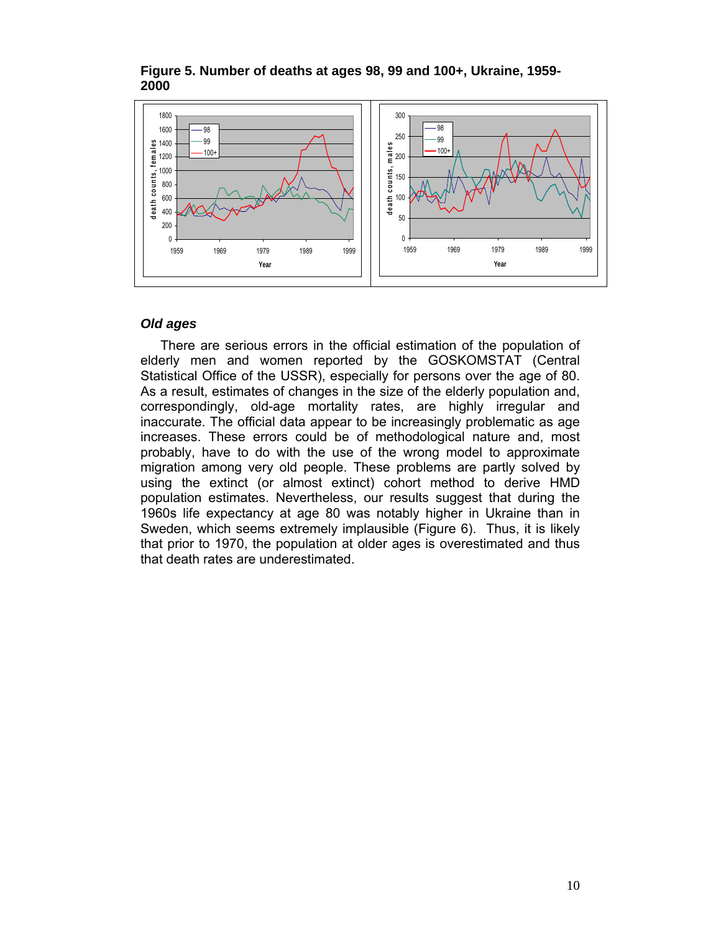

## **Figure 5. Number of deaths at ages 98, 99 and 100+, Ukraine, 1959- 2000**

#### *Old ages*

There are serious errors in the official estimation of the population of elderly men and women reported by the GOSKOMSTAT (Central Statistical Office of the USSR), especially for persons over the age of 80. As a result, estimates of changes in the size of the elderly population and, correspondingly, old-age mortality rates, are highly irregular and inaccurate. The official data appear to be increasingly problematic as age increases. These errors could be of methodological nature and, most probably, have to do with the use of the wrong model to approximate migration among very old people. These problems are partly solved by using the extinct (or almost extinct) cohort method to derive HMD population estimates. Nevertheless, our results suggest that during the 1960s life expectancy at age 80 was notably higher in Ukraine than in Sweden, which seems extremely implausible (Figure 6). Thus, it is likely that prior to 1970, the population at older ages is overestimated and thus that death rates are underestimated.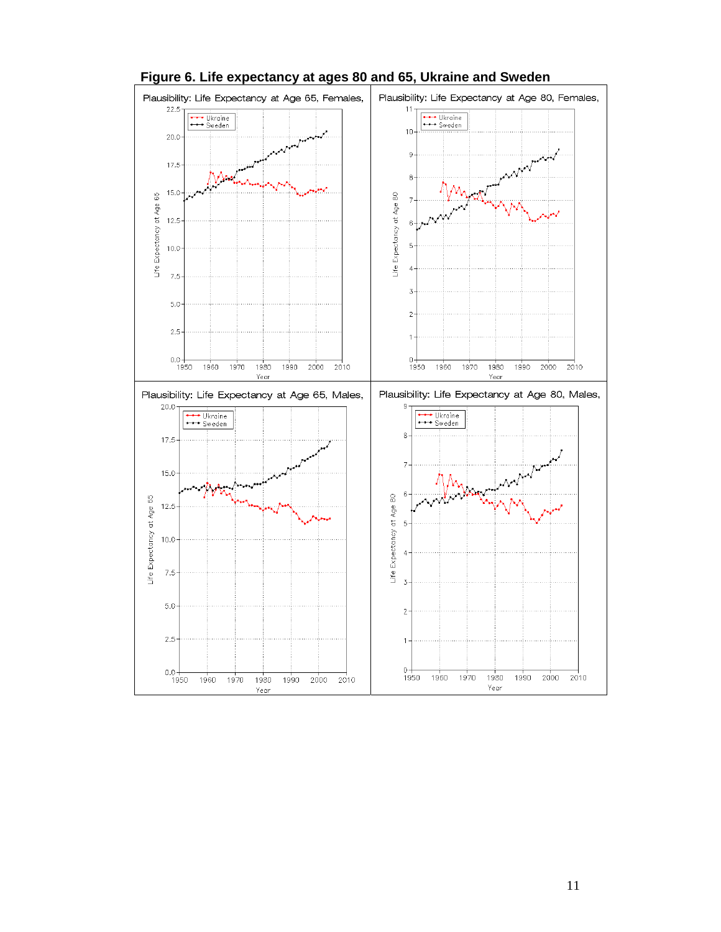

## **Figure 6. Life expectancy at ages 80 and 65, Ukraine and Sweden**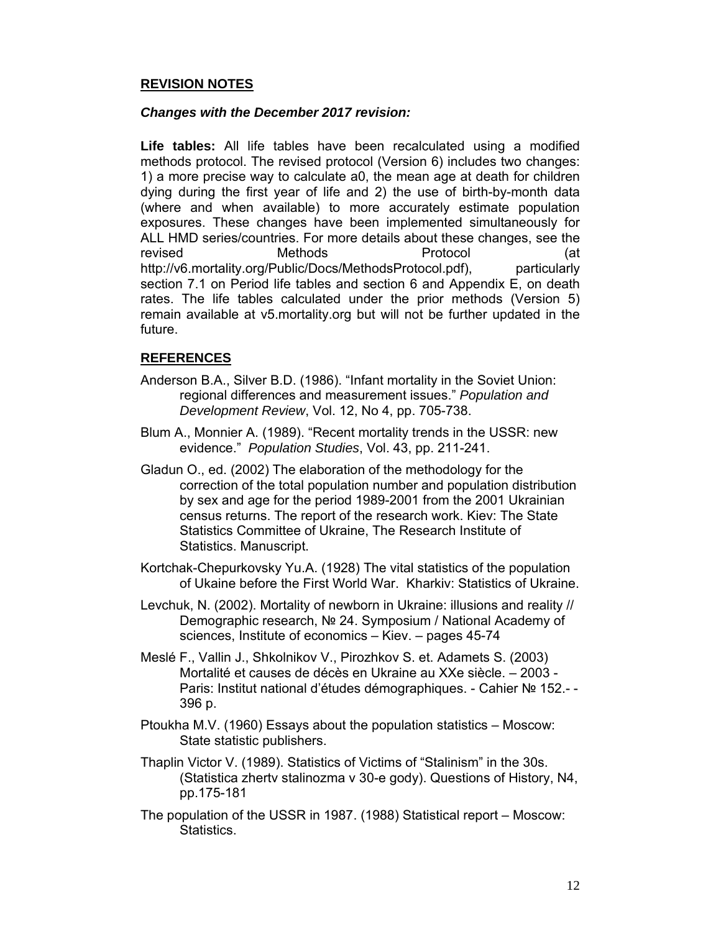## **REVISION NOTES**

## *Changes with the December 2017 revision:*

**Life tables:** All life tables have been recalculated using a modified methods protocol. The revised protocol (Version 6) includes two changes: 1) a more precise way to calculate a0, the mean age at death for children dying during the first year of life and 2) the use of birth-by-month data (where and when available) to more accurately estimate population exposures. These changes have been implemented simultaneously for ALL HMD series/countries. For more details about these changes, see the revised Methods Protocol (at http://v6.mortality.org/Public/Docs/MethodsProtocol.pdf), particularly section 7.1 on Period life tables and section 6 and Appendix E, on death rates. The life tables calculated under the prior methods (Version 5) remain available at v5.mortality.org but will not be further updated in the future.

## **REFERENCES**

- Anderson B.A., Silver B.D. (1986). "Infant mortality in the Soviet Union: regional differences and measurement issues." *Population and Development Review*, Vol. 12, No 4, pp. 705-738.
- Blum A., Monnier A. (1989). "Recent mortality trends in the USSR: new evidence." *Population Studies*, Vol. 43, pp. 211-241.
- Gladun O., ed. (2002) The elaboration of the methodology for the correction of the total population number and population distribution by sex and age for the period 1989-2001 from the 2001 Ukrainian census returns. The report of the research work. Kiev: The State Statistics Committee of Ukraine, The Research Institute of Statistics. Manuscript.
- Kortchak-Chepurkovsky Yu.A. (1928) The vital statistics of the population of Ukaine before the First World War. Kharkiv: Statistics of Ukraine.
- Levchuk, N. (2002). Mortality of newborn in Ukraine: illusions and reality // Demographic research, № 24. Symposium / National Academy of sciences, Institute of economics – Kiev. – pages 45-74
- Meslé F., Vallin J., Shkolnikov V., Pirozhkov S. et. Adamets S. (2003) Mortalité et causes de décès en Ukraine au XXe siècle. – 2003 - Paris: Institut national d'études démographiques. - Саhier № 152.- - 396 р.
- Ptoukha M.V. (1960) Essays about the population statistics Moscow: State statistic publishers.
- Thaplin Victor V. (1989). Statistics of Victims of "Stalinism" in the 30s. (Statistica zhertv stalinozma v 30-e gody). Questions of History, N4, pp.175-181
- The population of the USSR in 1987. (1988) Statistical report Moscow: Statistics.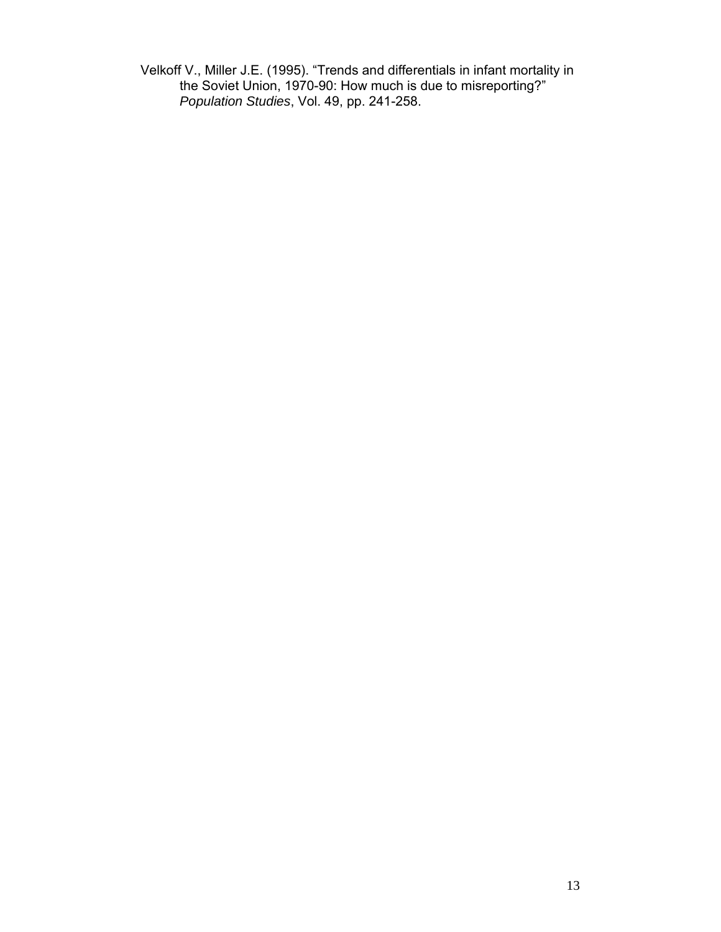Velkoff V., Miller J.E. (1995). "Trends and differentials in infant mortality in the Soviet Union, 1970-90: How much is due to misreporting?" *Population Studies*, Vol. 49, pp. 241-258.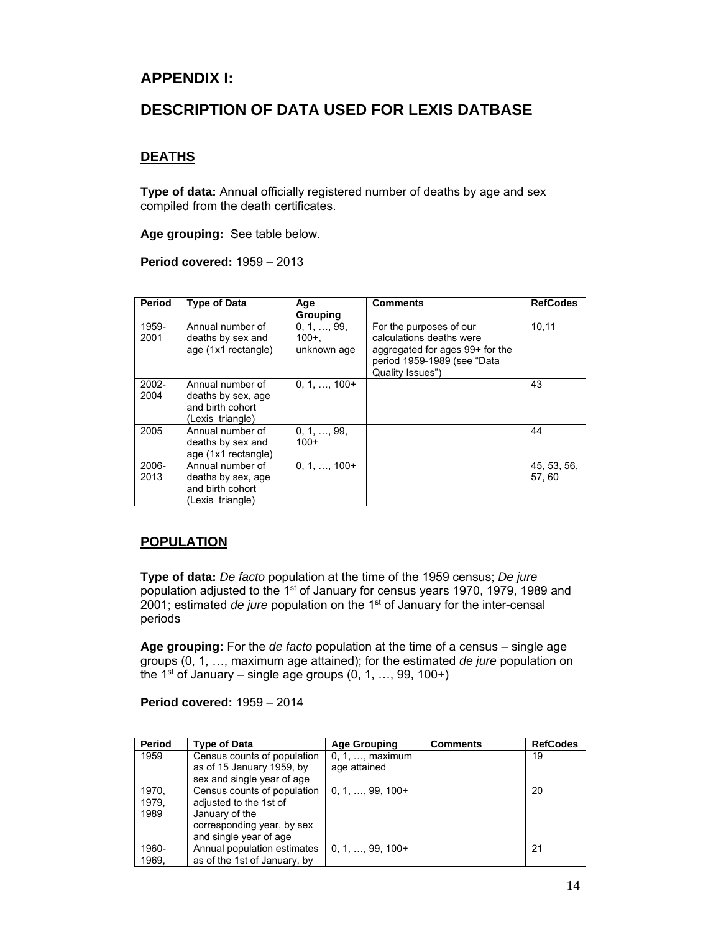## **APPENDIX I:**

## **DESCRIPTION OF DATA USED FOR LEXIS DATBASE**

## **DEATHS**

**Type of data:** Annual officially registered number of deaths by age and sex compiled from the death certificates.

**Age grouping:** See table below.

**Period covered:** 1959 – 2013

| Period           | <b>Type of Data</b>                                                            | Age<br><b>Grouping</b>               | <b>Comments</b>                                                                                                                           | <b>RefCodes</b>       |
|------------------|--------------------------------------------------------------------------------|--------------------------------------|-------------------------------------------------------------------------------------------------------------------------------------------|-----------------------|
| 1959-<br>2001    | Annual number of<br>deaths by sex and<br>age (1x1 rectangle)                   | 0, 1, , 99<br>$100 +$<br>unknown age | For the purposes of our<br>calculations deaths were<br>aggregated for ages 99+ for the<br>period 1959-1989 (see "Data<br>Quality Issues") | 10,11                 |
| $2002 -$<br>2004 | Annual number of<br>deaths by sex, age<br>and birth cohort<br>(Lexis triangle) | $0, 1, , 100+$                       |                                                                                                                                           | 43                    |
| 2005             | Annual number of<br>deaths by sex and<br>age (1x1 rectangle)                   | 0, 1, , 99,<br>$100+$                |                                                                                                                                           | 44                    |
| 2006-<br>2013    | Annual number of<br>deaths by sex, age<br>and birth cohort<br>(Lexis triangle) | $0, 1, , 100+$                       |                                                                                                                                           | 45, 53, 56,<br>57, 60 |

## **POPULATION**

**Type of data:** *De facto* population at the time of the 1959 census; *De jure* population adjusted to the 1<sup>st</sup> of January for census years 1970, 1979, 1989 and 2001; estimated *de jure* population on the 1st of January for the inter-censal periods

**Age grouping:** For the *de facto* population at the time of a census – single age groups (0, 1, …, maximum age attained); for the estimated *de jure* population on the 1<sup>st</sup> of January – single age groups  $(0, 1, ..., 99, 100+)$ 

**Period covered:** 1959 – 2014

| Period                 | <b>Type of Data</b>                                                                                                             | <b>Age Grouping</b>                      | <b>Comments</b> | <b>RefCodes</b> |
|------------------------|---------------------------------------------------------------------------------------------------------------------------------|------------------------------------------|-----------------|-----------------|
| 1959                   | Census counts of population<br>as of 15 January 1959, by<br>sex and single year of age                                          | $0, 1, \ldots$ , maximum<br>age attained |                 | 19              |
| 1970.<br>1979.<br>1989 | Census counts of population<br>adjusted to the 1st of<br>January of the<br>corresponding year, by sex<br>and single year of age | $0, 1, \ldots, 99, 100+$                 |                 | 20              |
| 1960-<br>1969.         | Annual population estimates<br>as of the 1st of January, by                                                                     | $0, 1, \ldots, 99, 100+$                 |                 | 21              |